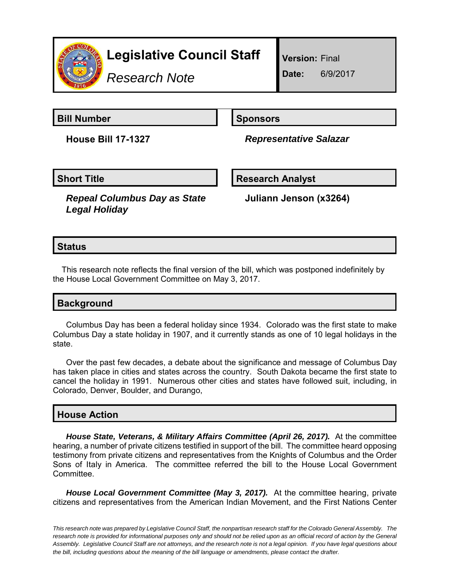

*Research Note*

**Version:** Final

**Date:** 6/9/2017

**Bill Number Sponsors** 

**House Bill 17-1327** *Representative Salazar*

**Short Title Community Community Community Research Analyst** 

*Repeal Columbus Day as State Legal Holiday*

**Juliann Jenson (x3264)**

## **Status**

This research note reflects the final version of the bill, which was postponed indefinitely by the House Local Government Committee on May 3, 2017.

| <b>Background</b> |  |
|-------------------|--|
|-------------------|--|

Columbus Day has been a federal holiday since 1934. Colorado was the first state to make Columbus Day a state holiday in 1907, and it currently stands as one of 10 legal holidays in the state.

Over the past few decades, a debate about the significance and message of Columbus Day has taken place in cities and states across the country. South Dakota became the first state to cancel the holiday in 1991. Numerous other cities and states have followed suit, including, in Colorado, Denver, Boulder, and Durango,

## **House Action**

*House State, Veterans, & Military Affairs Committee (April 26, 2017).* At the committee hearing, a number of private citizens testified in support of the bill. The committee heard opposing testimony from private citizens and representatives from the Knights of Columbus and the Order Sons of Italy in America. The committee referred the bill to the House Local Government Committee.

*House Local Government Committee (May 3, 2017).* At the committee hearing, private citizens and representatives from the American Indian Movement, and the First Nations Center

*This research note was prepared by Legislative Council Staff, the nonpartisan research staff for the Colorado General Assembly. The research note is provided for informational purposes only and should not be relied upon as an official record of action by the General Assembly. Legislative Council Staff are not attorneys, and the research note is not a legal opinion. If you have legal questions about the bill, including questions about the meaning of the bill language or amendments, please contact the drafter.*